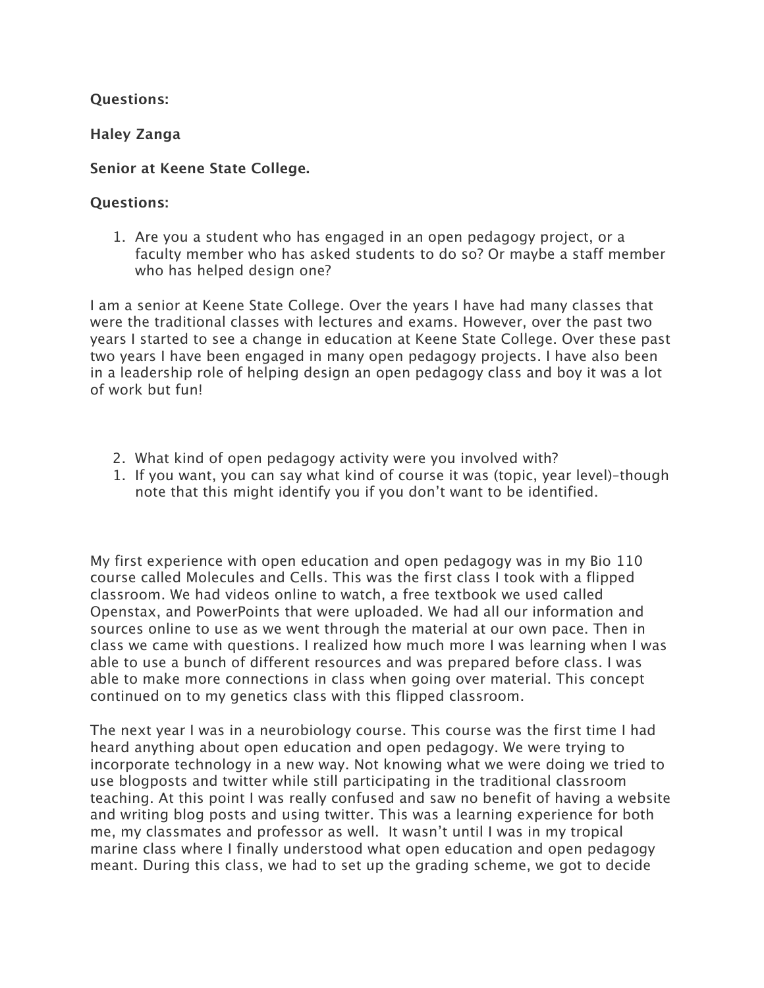# **Questions:**

**Haley Zanga**

# **Senior at Keene State College.**

#### **Questions:**

1. Are you a student who has engaged in an open pedagogy project, or a faculty member who has asked students to do so? Or maybe a staff member who has helped design one?

I am a senior at Keene State College. Over the years I have had many classes that were the traditional classes with lectures and exams. However, over the past two years I started to see a change in education at Keene State College. Over these past two years I have been engaged in many open pedagogy projects. I have also been in a leadership role of helping design an open pedagogy class and boy it was a lot of work but fun!

- 2. What kind of open pedagogy activity were you involved with?
- 1. If you want, you can say what kind of course it was (topic, year level)–though note that this might identify you if you don't want to be identified.

My first experience with open education and open pedagogy was in my Bio 110 course called Molecules and Cells. This was the first class I took with a flipped classroom. We had videos online to watch, a free textbook we used called Openstax, and PowerPoints that were uploaded. We had all our information and sources online to use as we went through the material at our own pace. Then in class we came with questions. I realized how much more I was learning when I was able to use a bunch of different resources and was prepared before class. I was able to make more connections in class when going over material. This concept continued on to my genetics class with this flipped classroom.

The next year I was in a neurobiology course. This course was the first time I had heard anything about open education and open pedagogy. We were trying to incorporate technology in a new way. Not knowing what we were doing we tried to use blogposts and twitter while still participating in the traditional classroom teaching. At this point I was really confused and saw no benefit of having a website and writing blog posts and using twitter. This was a learning experience for both me, my classmates and professor as well. It wasn't until I was in my tropical marine class where I finally understood what open education and open pedagogy meant. During this class, we had to set up the grading scheme, we got to decide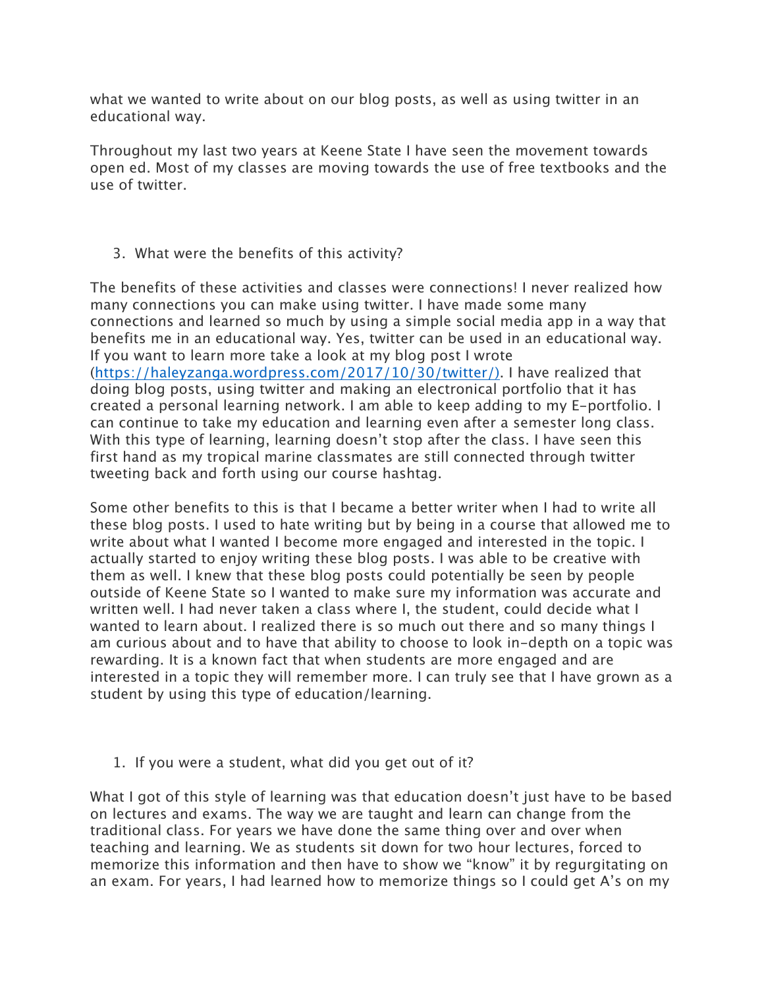what we wanted to write about on our blog posts, as well as using twitter in an educational way.

Throughout my last two years at Keene State I have seen the movement towards open ed. Most of my classes are moving towards the use of free textbooks and the use of twitter.

# 3. What were the benefits of this activity?

The benefits of these activities and classes were connections! I never realized how many connections you can make using twitter. I have made some many connections and learned so much by using a simple social media app in a way that benefits me in an educational way. Yes, twitter can be used in an educational way. If you want to learn more take a look at my blog post I wrote (https://haleyzanga.wordpress.com/2017/10/30/twitter/). I have realized that doing blog posts, using twitter and making an electronical portfolio that it has created a personal learning network. I am able to keep adding to my E-portfolio. I can continue to take my education and learning even after a semester long class. With this type of learning, learning doesn't stop after the class. I have seen this first hand as my tropical marine classmates are still connected through twitter tweeting back and forth using our course hashtag.

Some other benefits to this is that I became a better writer when I had to write all these blog posts. I used to hate writing but by being in a course that allowed me to write about what I wanted I become more engaged and interested in the topic. I actually started to enjoy writing these blog posts. I was able to be creative with them as well. I knew that these blog posts could potentially be seen by people outside of Keene State so I wanted to make sure my information was accurate and written well. I had never taken a class where I, the student, could decide what I wanted to learn about. I realized there is so much out there and so many things I am curious about and to have that ability to choose to look in-depth on a topic was rewarding. It is a known fact that when students are more engaged and are interested in a topic they will remember more. I can truly see that I have grown as a student by using this type of education/learning.

# 1. If you were a student, what did you get out of it?

What I got of this style of learning was that education doesn't just have to be based on lectures and exams. The way we are taught and learn can change from the traditional class. For years we have done the same thing over and over when teaching and learning. We as students sit down for two hour lectures, forced to memorize this information and then have to show we "know" it by regurgitating on an exam. For years, I had learned how to memorize things so I could get A's on my